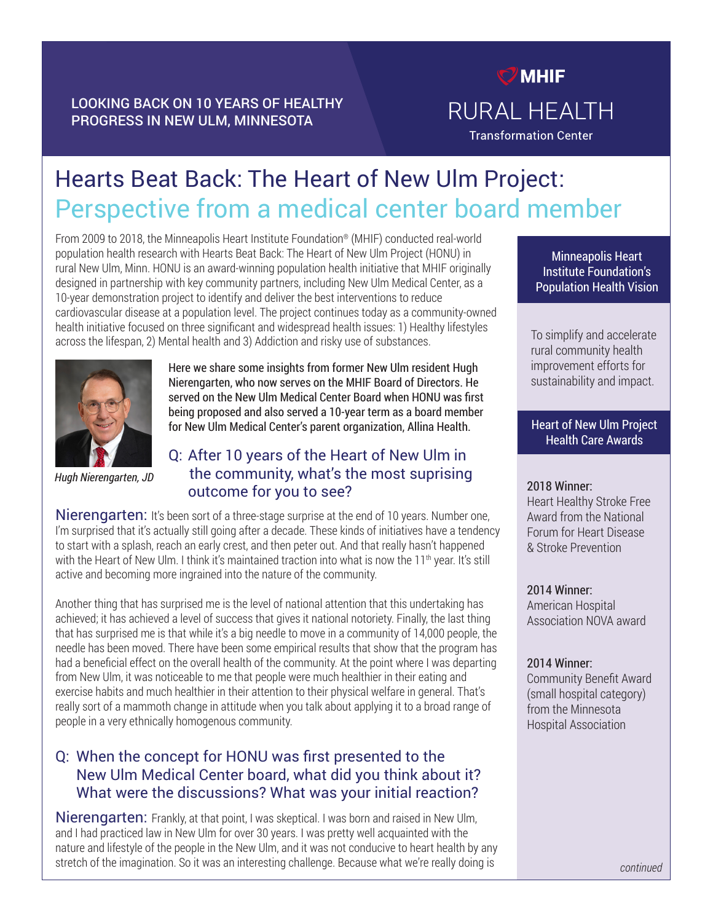## LOOKING BACK ON 10 YEARS OF HEALTHY PROGRESS IN NEW ULM, MINNESOTA

## $<sup>7</sup>$  MHIF</sup> RURAL HEALTH **Transformation Center**

# Hearts Beat Back: The Heart of New Ulm Project: Perspective from a medical center board member

From 2009 to 2018, the Minneapolis Heart Institute Foundation® (MHIF) conducted real-world population health research with Hearts Beat Back: The Heart of New Ulm Project (HONU) in rural New Ulm, Minn. HONU is an award-winning population health initiative that MHIF originally designed in partnership with key community partners, including New Ulm Medical Center, as a 10-year demonstration project to identify and deliver the best interventions to reduce cardiovascular disease at a population level. The project continues today as a community-owned health initiative focused on three significant and widespread health issues: 1) Healthy lifestyles across the lifespan, 2) Mental health and 3) Addiction and risky use of substances.



*Hugh Nierengarten, JD*

Here we share some insights from former New Ulm resident Hugh Nierengarten, who now serves on the MHIF Board of Directors. He served on the New Ulm Medical Center Board when HONU was first being proposed and also served a 10-year term as a board member for New Ulm Medical Center's parent organization, Allina Health.

## Q: After 10 years of the Heart of New Ulm in the community, what's the most suprising outcome for you to see?

Nierengarten: It's been sort of a three-stage surprise at the end of 10 years. Number one, I'm surprised that it's actually still going after a decade. These kinds of initiatives have a tendency to start with a splash, reach an early crest, and then peter out. And that really hasn't happened with the Heart of New Ulm. I think it's maintained traction into what is now the  $11<sup>th</sup>$  year. It's still active and becoming more ingrained into the nature of the community.

Another thing that has surprised me is the level of national attention that this undertaking has achieved; it has achieved a level of success that gives it national notoriety. Finally, the last thing that has surprised me is that while it's a big needle to move in a community of 14,000 people, the needle has been moved. There have been some empirical results that show that the program has had a beneficial effect on the overall health of the community. At the point where I was departing from New Ulm, it was noticeable to me that people were much healthier in their eating and exercise habits and much healthier in their attention to their physical welfare in general. That's really sort of a mammoth change in attitude when you talk about applying it to a broad range of people in a very ethnically homogenous community.

## Q: When the concept for HONU was first presented to the New Ulm Medical Center board, what did you think about it? What were the discussions? What was your initial reaction?

Nierengarten: Frankly, at that point, I was skeptical. I was born and raised in New Ulm, and I had practiced law in New Ulm for over 30 years. I was pretty well acquainted with the nature and lifestyle of the people in the New Ulm, and it was not conducive to heart health by any stretch of the imagination. So it was an interesting challenge. Because what we're really doing is

Minneapolis Heart Institute Foundation's Population Health Vision

To simplify and accelerate rural community health improvement efforts for sustainability and impact.

#### Heart of New Ulm Project Health Care Awards

#### 2018 Winner:

Heart Healthy Stroke Free Award from the National Forum for Heart Disease & Stroke Prevention

2014 Winner:

American Hospital Association NOVA award

#### 2014 Winner:

Community Benefit Award (small hospital category) from the Minnesota Hospital Association